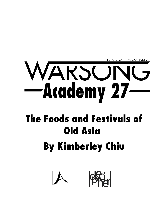**TALES FROM THE WARS™ UNIVERSE** 

## WARSONG<br>-Academy 27

## The Foods and Festivals of Old Asia **By Kimberley Chiu**



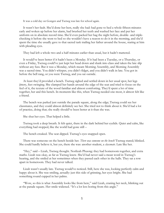It was a cold day on Gongen and Tsetseg was late for school again.

It wasn't her fault. She'd done her best, really she had: had gone to bed a whole fifteen minutes early and woken up before her alarm, had brushed her teeth and washed her face and put her uniform on in absolute record time. She'd even packed her bag the night before, double- and triplechecking it before she went to bed so she wouldn't have a reason to do it in the morning, and she'd spent the time she usually gave to that sacred task trailing her father around the house, staring at him with pleading eyes.

They had left a whole two and a half minutes earlier than usual, but it hadn't mattered.

It would've been better if it hadn't been a Monday. If it had been a Tuesday, or a Thursday, or even a Friday, Tsetseg could've just kept her head down and slunk into class and taken the late slip without any fuss. But it was a Monday, which meant Morning Assembly, and Morning Assembly was a sacred time. You didn't whisper, you didn't fidget, and you didn't walk in late. You got in before the bell rang, or you were Tsetseg, and you sat outside.

At least they'd provided a bench. Tsetseg sighed and settled down in her usual spot, her legs jittery, feet swinging. She clamped her hands around the edge of the seat and tried to focus on the feel of it, the texture of the wood familiar and almost comforting. They'd spent a lot of time together, her and this bench. In moments like this, when Tsetseg needed one most, it almost felt like a friend.

The bench was parked just outside the parade square, along the edge; Tsetseg could see her classmates, and they could almost definitely see her. She tried not to think about it. She'd had a lot of practice, doing that; she really should've been better at it than she was.

She shut her eyes. That helped a little.

Tsetseg took a deep breath. It felt quiet, there in the dark behind her eyelids. Quiet and calm, like everything had stopped, like the world had gone still –

The bench creaked. The seat dipped. Tsetseg's eyes snapped open.

There was someone on the bench beside her. *There was someone on the bench!* Tsetseg stared; blinked. She could hardly believe it, but yes, there she was: another student, a *classmate*. Late like her.

"Hey," said – Lizah, Tsetseg thought. Norlizah Phuong: they had homeroom together, and extra maths. Lizah was okay, as far as Tsetseg knew. She'd had never said a mean word in Tsetseg's hearing, and she smiled at her sometimes when they passed each other in the halls. They sat a row apart in homeroom. They had never talked.

Lizah wasn't usually late. Tsetseg would've noticed. Still, here she was, looking perfectly calm and happy about it. She was smiling, actually: just this side of grinning, her eyes bright. She had something round cupped in her palms.

"Wow, so this is what Assembly looks like from here," said Lizah, craning her neck, blinking out at the parade square. Her smile widened. "It's a lot less boring from this angle."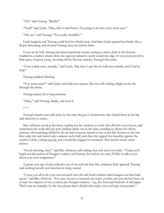"Oh," said Tsetseg. "Really?"

"Yeah!" said Lizah. "Man, this is *much* better. I'm going to do this every week now."

"Oh, no," said Tsetseg. "You really shouldn't."

Lizah laughed, and Tsetseg could feel her cheeks heat. And then Lizah opened her hands, like a flower blooming, and showed Tsetseg what she had in them.

It was an ice ball, shining and almost perfectly round, starting to melt a little at the bottom. Cradled in a shallow plastic dish, two spoons tucked in neatly round the edge. It was crowned with a little spray of green syrup, showing off the flavour: matcha, Tsetseg's favourite.

"I was a little early, actually," said Lizah, "but then I saw the ice ball man outside, and I had to stop."

Tsetseg nodded, blinking.

"You want some?" said Lizah, and held out a spoon. She was still smiling, bright as the sky through the dome.

Tsetseg stared, for a long moment.

"Okay," said Tsetseg, finally, and took it.

\* \* \*

Tsetseg's hands were still sticky by the time she got to homeroom. She folded them in her lap and tried not to notice.

Mrs. Ichinose stood at the front, waiting for the students to settle. She did this every lesson, and sometimes she really did just *wait*: smiling calmly out at the class, standing in silence for whole minutes, till something shifted in the air and everyone turned to her at last like flowers to the sun. But today the wait lasted only a minute and a half, and then she rapped her knuckles against the teacher's desk, a sharp *pap-pap*, and everybody snapped to attention. That knock meant *serious business*.

"Good morning, class," said Mrs. Ichinose, still smiling that soft and even smile. "Today we'll begin our discussion of Gongen's culture and history, but before we start, I'd like to talk to you about your next assignment."

A groan rose up: a loud, collective cry of *noo* and *why* that Mrs. Ichinose flatly ignored. Tsetseg said nothing herself, just breathed in deep, waited.

"I want you all to do your own research into the old Earth cultures that Gongen was first built upon," said Mrs. Ichinose. "You may choose to research any topic you like, but you should focus on at least two aspects of one or more pre-Gongen cultures – say, the food and festivals of old Japan. That's just an example, by the way; please don't all pick that topic, you won't get extra points."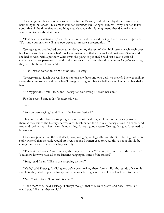Another groan, but this time it sounded softer to Tsetseg, made distant by the surprise she felt ballooning in her chest. This almost sounded *interesting*. Pre-Gongen cultures – why, her dad talked about that all the time, that and nothing else. Maybe, with this assignment, they'd actually have something to talk about at dinner.

"This is a pairs assignment," said Mrs. Ichinose, and the good feeling inside Tsetseg evaporated. "You and your partner will have two weeks to prepare a presentation – "

Tsetseg sighed and looked down at her desk, letting the rest of Mrs. Ichinose's speech wash over her like a wave. It just wasn't fair! Finally an assignment that she actually almost *wanted* to do, and she had to work with a partner? Where was she going to get one? She'd just have to wait till everyone else was partnered off and find whoever was left, and they'd have to *work together* knowing they were both last choice, and –

"Psst," hissed someone, from behind her. "Tsetseg!"

Tsetseg turned. Lizah was waving at her, one row back and two desks to the left. She was smiling again, the same smile she'd had when Tsetseg had dug into her ice ball, spoon clutched in her shaky hand.

"Be my partner?" said Lizah, and Tsetseg felt something lift from her chest.

For the second time today, Tsetseg said yes.

\* \* \*

"So, you were saying," said Lizah, "the lantern festival?"

They were in the library, sitting together at one of the desks, a pile of books growing around them as they raided the history shelves. Well, Lizah raided the shelves; Tsetseg stayed in her seat and read and took notes in her neatest handwriting. It was a good system, Tsetseg thought. It seemed to be working.

Lizah was perched on the desk itself, now, swinging her legs idly over the side. Tsetseg had been really worried that the table would tip over, but she'd gotten used to it. All those books should be enough to balance out her weight, probably.

"The lantern festival," said Tsetseg, shuffling her papers. "The, uh, the last day of the new year? You know how we have all these lanterns hanging in some of the streets?"

"Sure," said Lizah. "Like in the shopping district."

"Yeah," said Tsetseg, "well, I guess we've been making them forever. For thousands of years. It says here they used to just be for special occasions, but I guess we just kind of got used to them."

"Neat," said Lizah. "Lanterns are cool."

"I like them too," said Tsetseg. "I always thought that they were pretty, and now – well, is it weird that I like that they're old?"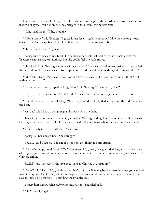Lizah tilted her head, looking at her. Like she was looking for the weird in her, like she could see it with her eyes. After a moment she shrugged, and Tsetseg felt herself relax.

"Nah," said Lizah. "Why, though?"

"I don't know," said Tsetseg. "I guess it just feels – realer, you know? Like they belong more, because they've always been here. Like that means they were meant to be."

"Hmm," said Lizah. "I guess."

Tsetseg turned back to her book. Lizah kicked her feet back and forth, and back and forth; Tsetseg wasn't staring or anything, but she could feel the table move.

"Hey, look," said Tsetseg, a couple of pages later. "There were *two* lantern festivals – they called the second one the *mid-autumn* festival, apparently, and they ate – something called mooncakes?"

"Oh," said Lizah. "I've heard about mooncakes. They were like bean paste buns, I think? But with a harder crust."

"I wonder why they stopped making them," said Tsetseg. "I want to try one."

"I mean, maybe they sucked," said Lizah. "I heard they put whole egg yolks in. That's weird."

"I bet it made sense," said Tsetseg. "I bet they tasted cool. My dad always says the old things are the best."

"Maybe," said Lizah, waving magnanimously with one hand.

They slipped into silence for a while, after that: Tsetseg reading, Lizah watching her. She was still looking at her when Tsetseg looked up, and she didn't even blink when their eyes met, only smiled.

"You're really into this stuff, huh?" said Lizah.

Tsetseg felt her cheeks heat. She shrugged.

"I guess," said Tsetseg. "I mean, it's our heritage, right? It's important."

"Not *my* heritage," said Lizah. "*I'm* Vietnamese. My great-great-granddad was, anyway. And one of my great-great-grandmothers, the one I was named after, she was from Singapore, and *she* wasn't Chinese either."

"Really?" said Tsetseg. "I thought they were all Chinese in Singapore."

"Nope," said Lizah. "My grandma says that's not true, like, maybe the historians just got lazy and forgot everyone else. Or they did it on purpose to make everything seem neat when it wasn't. She says it's, uh, he-ge-monic?" – sounding the syllables out.

Tsetseg didn't know what *hedgymonic* meant, but it sounded bad.

"Oh," she said, again.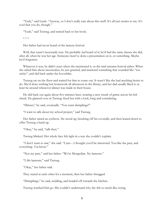"Yeah," said Lizah. "Anyway, so I don't really care about this stuff. It's all just stories to me. It's cool that you do, though."

"Yeah," said Tsetseg, and turned back to her book.

\* \* \*

Her father had never heard of the lantern festival.

Well, that wasn't necessarily true. He probably *had* heard of it; he'd had the same classes she did, after all, when he was her age. Someone must've done a presentation on it, or something. Maybe he'd forgotten.

Whatever it was, he didn't react when she mentioned it, or the mid-autumn festival either. When she asked him about mooncakes, he just grunted, and muttered something that sounded like "too sticky", and slid back under the hoverbike.

Tsetseg sat on the floor and waited for him to come out. It wasn't like she had anything better to do. She'd done nothing but homework all afternoon in the library, and her dad usually liked to at least be around whenever dinner was made in their house.

He slid back out again about five minutes later, wearing a new streak of grime across his left cheek. He glanced over at Tsetseg; fixed her with a look, long and considering.

"Dinner," he said, eventually. "You want dumplings?"

"I want to talk about my school project," said Tsetseg.

Her father raised an eyebrow. He stood up, brushing off his coveralls, and then leaned down to offer Tsetseg a hand up.

"Okay," he said, "talk then."

Tsetseg blinked. Her whole face felt tight in a way she couldn't explain.

"I don't want to *now*," she said. "I just – I thought you'd be interested. You like the past, and everything. *You* know."

"Not my past," said her father. "We're Mongolian. No lanterns."

"I *like* lanterns," said Tsetseg.

"Okay," her father said.

They stared at each other for a moment, then her father shrugged.

"Dumplings," he said, nodding, and headed off towards the kitchen.

Tsetseg watched him go. She couldn't understand why she felt so much like crying.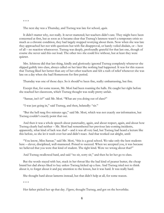\* \* \*

The next day was a Thursday, and Tsetseg was late for school, *again*.

It didn't matter why, not really. It never mattered; her teachers didn't care. They might have been concerned at first, but as soon as it became clear that Tsetseg's lateness wasn't a temporary crisis so much as a chronic condition, they had largely stopped worrying about them. Now when she was late they approached her not with questions but with flat disapproval, or barely-veiled disdain, or – best of all – no reaction whatsoever. Tsetseg was deeply, profoundly grateful for that last one, though of course she never said this out loud. The other two she could live without, but at least they were quieter.

Mrs. Ichinose did that last thing, kindly and gloriously: ignored Tsetseg completely whenever she slipped guiltily into class, always called on her later like nothing had happened. It was for this reason that Tsetseg liked her better than any of her other teachers and felt a rush of relief whenever she was late on a day when she had Homeroom for first period.

Thursday was one of those days. So it should've been fine, really: embarrassing, but fine.

Except that, for some reason, Mr. Mori had been roaming the halls. He caught her right before she reached her classroom, which Tsetseg thought was really pretty unfair.

"Sansar, isn't it?" said Mr. Mori. "What are you doing out of class?"

"I was just going in," said Tsetseg, and then, belatedly: "sir."

"But the bell rang five minutes ago," said Mr. Mori, which was not exactly *new* information, but Tsetseg couldn't exactly point that out.

And then it was a whole speech about punctuality, again, and about respect, again, and about how Tsetseg clearly had neither – Mr. Mori had remembered her previous late-coming incidents, apparently, what kind of luck was *that*? – and it was all very bad, but Tsetseg had heard a lecture like this before, so she let it wash over her and didn't react. And that worked out alright, until:

"You know, Miss Sansar," said Mr. Mori, "this is a good school. We take only the best students here – clever, disciplined, well-mannered. Poised to succeed. When we accepted you, it was because we believed that you were that kind of student. The right kind. Were we wrong about that?"

And Tsetseg swallowed hard, and said "no sir, sorry sir," and then he let her go to class.

But the words stayed with her, stuck in her throat like the bad kind of peanut butter, the cheap brand her dad always liked to buy unless Tsetseg kicked up a fuss. And Tsetseg tried not to think about it, to forget about it and pay attention to the lesson, but it was hard. It was really hard.

She thought hard about lanterns instead, but that didn't help at all, for some reason.

\* \* \*

Her father picked her up that day. *Figures*, thought Tsetseg, and got on the hoverbike.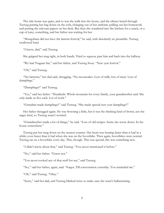The ride home was quiet, and so was the walk into the house, and the silence lasted through Tsetseg putting her bag down on the sofa, changing out of her uniform, pulling out her homework and putting the relevant papers on her desk. But then she wandered into the kitchen for a snack, or a cup of juice, something, and her father was waiting for her.

"Mongolians did not have the lantern festival," he said, with absolutely no preamble. Tsetseg swallowed hard.

"I know, dad," said Tsetseg.

She gripped her mug tight, in both hands. Tried to squeeze past him and back into the hallway.

"We had Tsagaan Sar," said her father, and Tsetseg froze. "New year festival."

"Oh," said Tsetseg.

"No lanterns," her dad said, shrugging. "No mooncakes. Lots of milk, lots of meat. Lots of dumplings."

"Dumplings?" said Tsetseg.

"Yes," said her father. "Hundreds. Whole mountain for every family, your grandmother said. She only made us five each. Lot of work."

"Grandma made dumplings?" said Tsetseg. "She made special new year dumplings?"

Her father shrugged again. He was frowning a little, but it was the thinking kind of frown, not the angry kind, so Tsetseg wasn't worried.

"Grandmother made a lot of things," he said. "Lots of old recipes. Some she wrote down. In the house somewhere."

Tsetseg put her mug down on the nearest counter. Her heart was beating faster than it had in a while; even faster than it had when she was on the hoverbike. Then again, hoverbikes were normal. Tsetseg sat on a hoverbike every day. This, though. This was special; this was something new.

"I didn't know about that," said Tsetseg. "You never mentioned it before."

"No," said her father. "Guess not."

"You never cooked any of that stuff for me," said Tsetseg.

"No," said her father, again, and: "forgot. Till conversation yesterday. You reminded me."

"Oh," said Tsetseg. "Okay."

"Sorry," said her dad, and Tsetseg blinked twice to make sure she wasn't hallucinating.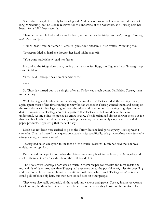She hadn't, though. He really had apologized. And he was looking at her now, with the sort of long considering look he usually reserved for the underside of the hoverbike, and Tsetseg held her breath for a full fifteen seconds.

Then her father blinked, and shook his head, and turned to the fridge, and: *well,* thought Tsetseg, *that's that.* Except –

"Lunch now," said her father. "Later, tell you about Naadam. Horse festival. Wrestling too."

Tsetseg nodded so hard she thought her head might snap off.

"You want sandwiches?" said her father.

He yanked the fridge door open, pulling out mayonnaise. Eggs, too. Egg salad was Tsetseg's top favourite filling.

"Yes," said Tsetseg. "Yes, I want sandwiches."

So Thursday turned out to be alright, after all. Friday was much better. On Friday, Tsetseg went to the library.

Well, Tsetseg and Lizah went to the library, technically. But Tsetseg did all the reading. Lizah, again, spent most of her time running for new books whenever Tsetseg wanted them, and sitting on the study desks with her legs dangling over the edge, and ceremoniously sticking brightly-coloured divider tags on all of Tsetseg's notes in a pattern that Tsetseg herself could never hope to understand. At one point she peeled an entire orange. The librarian had almost thrown them out for that one, but Lizah offered her a piece, holding the orange very pointedly *away* from any and all paper products. Apparently that made it okay.

Lizah had not been very excited to go to the library, but she had gone anyway. Tsetseg wasn't sure why. That had been Lizah's question, actually, *why*: specifically, *why go to the library now when you've already done way too much research?*

Tsetseg had taken exception to the idea of "too much" research. Lizah had said that she was entitled to her opinion.

But she had come,picked out what she claimed was every book in the library on Mongolia, and stacked them all in an unwieldy pile on the desk beside her.

The books were *amazing*. There was so much in them: recipes for biscuits and meat roasts and more kinds of dairy products than Tsetseg had ever considered the possibility of, rules for wrestling and ceremonial horse races, photos of traditional costumes, which, well. Tsetseg wasn't sure she could pull off those big hats, but they sure looked nice on other people.

They were also really colourful, all those reds and yellows and greens. Tsetseg had never worn a lot of colour; the thought of it scared her a little. Even the red-and-gold trim on her uniform had

<sup>\* \* \*</sup>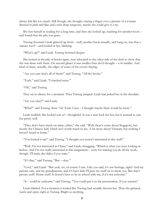always felt like too much. Still though, she thought, tracing a finger over a picture of a woman dressed in pink and lilac and a rich deep turquoise, maybe she could give it a try.

She lost herself in reading for a long time, and then she looked up, reaching for another book – and found that the pile was gone.

Tsetseg frowned. Lizah glanced up from – well, another book actually, and hang on, was that a *romance novel?* – and looked at her, blinking.

"What's up?" said Lizah. Tsetseg frowned deeper.

She looked at the pile of books again, now relocated to the other side of the desk to show that she was done with them. On second glance it was smaller than she'd thought – a *lot* smaller. And kind of dusty, actually, the edges of some of the covers fraying.

"Are you sure that's all of them?" said Tsetseg. "All the books."

"Yeah," said Lizah. "I checked twice."

"Oh," said Tsetseg.

They sat in silence for a moment. Then Tsetseg jumped: Lizah had poked her in the shoulder.

"Are you okay?" said Lizah.

"What?" said Tsetseg, then: "oh. Yeah. I just – I thought maybe there would be more."

Lizah nodded. She looked sort of – thoughtful. It was a new look for her, but it seemed to suit her pretty well.

"They don't have much on mine, either," she said. "Well, there's some about Singapore, but mostly the Chinese half, which isn't worth much to me. A bit more about Vietnam, but nothing I haven't heard at home."

"You looked it up?" said Tsetseg. "I thought you weren't interested in this stuff."

"Well, I'm not interested in China," said Lizah, shrugging. "Which is what you were looking at before. And I'm not really interested in this assignment – sorry for making you do all the work, though. I'll make the slides if you want."

"It's fine," said Tsetseg. "But – okay."

"Cool," said Lizah. "But yeah, no, of course I care. Like you said, it's our heritage, right? And my parents care, and my grandparents, and if I have kids I'll pass my stuff on to them, too. But that's private stuff. Home stuff. It doesn't have to be in school with me, if it's not welcome."

"It – could be welcome," said Tsetseg. "You could put it in the presentation. If you wanted."

Lizah blinked. For a moment it looked like Tsetseg had actually thrown her. Then she grinned, warm and open, right at Tsetseg. Bright as anything.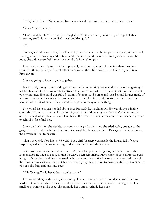"Nah," said Lizah. "We wouldn't have space for all that, and I want to hear about yours."

"Yeah?" said Tsetseg.

"*Yeah*," said Lizah. "It's so cool – I'm glad you're my partner, you know, you've got all this interesting stuff. So: come on. Tell me about Mongolia."

\* \* \*

Tsetseg walked home, after; it took a while, but that was fine. It was pretty hot, too, and normally Tsetseg would be sweating and irritated and almost tempted – almost! – to say a swear word, but today she didn't even feel it over the sound of all her Thoughts.

Her head felt weirdly full – of facts, probably, and Tsetseg could almost feel them buzzing around in there, jostling with each other, dancing on the tables. Were there tables in your brain? Probably not.

She was going to have to get it together.

It was hard, though, after reading all those books and writing down all those Facts and getting to tell Lizah about it, in a long rambling stream that poured out of her for what must have been a solid twenty minutes. Her mind was full of visions of steppes and horses and weird round houses made of felt, and amazing colourful outfits, and cookies shaped like feet, and this strange milk thing that people had to stir whenever they passed through a doorway or something – ?

She would have to ask her dad about that. Probably he would know. He was always thinking about this sort of stuff, and talking about it, even if he had never given Tsetseg *details* before the other day, and what if his brain was like this all the time? No wonder he could never seem to get her to school before final bell.

She would ask him, she decided, as soon as she got home – and she tried, going straight to the garage instead of through the front door like usual, but he wasn't there. Tsetseg even checked under the hoverbike, just to be sure.

That was weird. Not, like, *weird* weird, but weird. Tsetseg went inside the house, full of vague suspicion, and she put down her bag, and she wandered into the kitchen.

She wasn't sure what had led her there. Maybe it had just been a guess; her father was in the kitchen a lot, he liked to cook, so that would've been reasonable. Maybe her subconscious had been hungry. Or maybe it had been the smell, which she must've noticed as soon as she walked through the door, strong as it was, and which she was really paying attention to now: the thick, pungent scent of hot milk, fatty and salty and sour.

"Oh, Tsetseg," said her father, "you're home."

He was standing by the oven, gloves on, pulling out a tray of something that looked thick and hard, cut into small white cubes. He put the tray down on the counter, waved Tsetseg over. The smell got stronger as she drew closer, made her want to wrinkle her nose.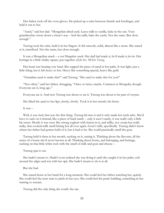Her father took off the oven gloves. He picked up a cube between thumb and forefinger, and held it out to her.

"Aarul," said her dad. "Mongolian dried curd. Leave milk to curdle, bake in the sun. Your grandmother wrote down a cheat's way – boil the milk, bake the curds. Not the same. But close enough."

Tsetseg took the cube, held it in her fingers. It felt smooth, solid, almost like a stone. She stared at it, transfixed. Not the same, but close enough.

It was a Mongolian snack – a *real Mongolian snack*. Her dad had made it, he'd made it *for her*. Her heritage in a little chalky square, put together *all for her*. All for *Tsetseg*.

Her heart was beating very hard. She cupped the piece of aarul in her palm. It was light, just a little thing, but it felt heavy to her. Heavy like something special, heavy like gold.

"Grandma used to make this?" said Tsetseg. "She used to make this for you?"

"Not often," said her father, shrugging. "Once or twice, maybe. Common in Mongolia, though. Everyone ate it, long ago."

Everyone ate it. And now Tsetseg was about to eat it. Tsetseg was about to be part of *everyone*.

She lifted the aarul to her lips, slowly, slowly. Took it in her mouth, bit down.

It was –

Well, it was *hard*, that was the first thing. Tsetseg bit into it and it only made her teeth ache. She'd have to suck on it instead, like a piece of hard candy – only it *wasn't* candy, it was really only a little bit sweet. Mostly it was sour: like strong yoghurt with lemon in it, and milky, not *creamy* but really *milky*, that cooked-milk smell hitting her all over again. Goat's milk, specifically. Tsetseg didn't know where her father had gotten hold of it, but it had to be. She could practically smell the goat.

Tsetseg held it there in her mouth, sucking on it, tasting it. Thinking about the flavours, all the tastes of a home she'd never known at all. Thinking about home, and belonging, and heritage, sucking on that little white rock with the smell of milk and goat and cheese –

Tsetseg spat it out.

She hadn't meant to. Hadn't even realised she was doing it until she caught it in her palm, soft around the edges and wet with her spit. She hadn't meant to do it at all.

But she had.

She stared down at her hand for a long moment. She could feel her father watching her, quietly. She could feel the tears start to prick in her eyes. She could feel the panic building, something in her starting to scream.

Tsetseg did the only thing she could: she ran.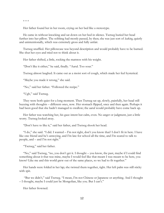\* \* \*

Her father found her in her room, crying on her bed like a stereotype.

He came in without knocking and sat down on her bed in silence. Tsetseg buried her head further into her pillow. The sobbing had mostly passed, by then; she was just sort of *leaking*, quietly and unintentionally, which was extremely gross and fully unfair.

Tsetseg snuffled. Her pillowcase was beyond description and would probably have to be burned. She shut her eyes and tried not to think about it.

Her father shifted, a little, rocking the mattress with his weight.

"Don't like it either," he said, finally. "Aarul. Too sour."

Tsetseg almost laughed. It came out as a moist sort of cough, which made her feel hysterical.

"Maybe you made it wrong," she said.

"No," said her father. "Followed the recipe."

"Ugh," said Tsetseg.

They were both quiet for a long moment. Then Tsetseg sat up, slowly, painfully, her head still buzzing with thoughts – different ones, now. Her stomach flipped, once and then again. Perhaps it had been good that she hadn't managed to swallow; the aarul would probably have come back up.

Her father was watching her, his gaze intent but calm, even. No anger or judgment, just a little worry. Tsetseg looked away.

"Don't have to like it," said her father, and Tsetseg shook her head.

"I do," she said. "I did. I wanted – I'm not right, don't you know that? I don't fit in here. I have like one friend and he's annoying, and I'm late for school all the time, and I'm scared to talk to people, and – and I'm not right."

"Tsetseg," said her father.

"No," said Tsetseg, "no, you don't get it. I thought – you know, the past, maybe if I could find something about it that was mine, maybe I would feel like that meant I was meant to be here, you know? Like me and this world grew out of the same places, so we had to fit together."

Her hands were folded in her lap; she twisted them together, tight. Her left palm was still sticky with spit.

"But we didn't," said Tsetseg. "I mean, I'm not Chinese or Japanese or anything. And I thought – I thought, maybe I could just be Mongolian, like you. But I can't."

Her father frowned.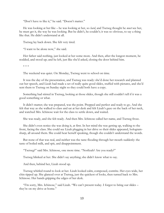"Don't have to like it," he said. "Doesn't matter."

He was looking at her like – he was looking at her, so *hard*, and Tsetseg thought he *must* see her, he must get it, the way he was looking. But he didn't, he couldn't; it was so obvious, to say a thing like that. He didn't understand at all.

Tsetseg lay back down. She felt very tired.

"I want to be alone now," she said.

Her father said nothing, just looked at her some more. And then, after the longest moment, he nodded, and stood up; and he left, just like she'd asked, closing the door behind him.

\* \* \*

The weekend was quiet. On Monday, Tsetseg went to school on time.

It was the day of the presentation, and Tsetseg was ready: she'd done her research and planned out her speech, and Lizah had made a set of really quite good slides, stuffed with pictures, and she'd sent them to Tsetseg on Sunday night so they could both have a copy.

Something had stirred in Tsetseg, looking at those slides, though she still couldn't tell if it was a good something or what.

It didn't matter; she was prepared, was the point. Prepped and perfect and ready to go. And she felt that way as she walked to class and sat at her desk and felt Lizah's gaze on the back of her neck, and watched Mrs. Ichinose wait for the class to settle down, and waited.

She was ready, and she felt ready. And then Mrs. Ichinose called her name, and Tsetseg froze.

She didn't even notice she was doing it, at first. In her mind she was getting up, walking to the front, facing the class. She could see Lizah plugging in her drive so their slides appeared, hologramsharp, all around them. She could hear herself speaking, though she couldn't understand the words.

But none of that was real, and neither was the taste flooding through her mouth suddenly: the taste of boiled milk, and spit, and disappointment.

"Tsetseg?" said Mrs. Ichinose, one more time. "Norlizah? Are you ready?"

Tsetseg blinked at her. She didn't say anything; she didn't know what to say.

And then, behind her, Lizah stood up.

Tsetseg whirled round to look at her. Lizah looked calm, composed, contrite. Her eyes wide, her chin tipped up. She glanced over at Tsetseg, just the quickest of looks, then turned back to Mrs. Ichinose. Her hands gripping the edges of her desk.

"I'm sorry, Mrs. Ichinose," said Lizah. "We can't present today. I forgot to bring our slides – they're on my drive at home."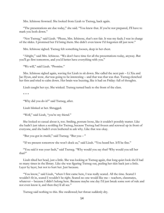Mrs. Ichinose frowned. She looked from Lizah to Tsetseg, back again.

"The presentations are due today," she said. "You knew that. If you're not prepared, I'll have to mark you both down."

"Not Tsetseg," said Lizah. "Please, Mrs. Ichinose, that's not fair. It was my fault; I was in charge of the slides. I promised her I'd bring them. She didn't even know I'd forgotten till just now."

Mrs. Ichinose sighed. Tsetseg felt something loosen, deep in her chest.

"Alright," said Mrs. Ichinose. "We don't have time for all the presentations today, anyway. But you'll go first tomorrow, and you'd better have everything with you."

"We will," said Lizah. "Promise."

Mrs. Ichinose sighed again, waving for Lizah to sit down. She called the next pair – Li Xiu and Jae Hyun, and wow, *that* was going to be interesting – and that was that was that. Tsetseg clenched her fists and tried to calm down. Her brain was buzzing, like it had on Friday: full of thoughts.

Lizah caught her eye. She winked. Tsetseg turned back to the front of the class.

\* \* \*

"Why did you do it?" said Tsetseg, after.

Lizah blinked at her. Shrugged.

"Well," said Lizah, "you're my friend."

She looked so casual about it, too. Smiling, posture loose, like it couldn't possibly matter. Like she hadn't just taken a scolding for Tsetseg, because Tsetseg had frozen and screwed up in front of everyone, and she hadn't even bothered to ask why. Like that was okay.

"But you got in *trouble*," said Tsetseg. "But you – "

"If we present tomorrow she won't dock us," said Lizah. "You heard her. It'll be fine."

"You said it was your fault," said Tsetseg. "Why would you say that? Why would you tell her that?"

Lizah tilted her head, just a little. She was looking at Tsetseg again, that long quiet look she'd had so many times in the library. Like she was figuring Tsetseg out, peeling her skin back just a little. Layer by layer, but not to hurt her. Just because.

"You know," said Lizah, "when I first came here, I was really scared. All the time. Scared I wouldn't fit in, scared I wouldn't be right. Scared no one would like me – teachers, classmates, whatever – because I didn't belong here. Because maybe one day I'd just break some sort of rule and not even know it, and then they'd all see."

Tsetseg said nothing to this. She swallowed; her throat suddenly dry.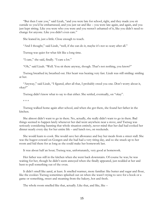"But then I saw you," said Lizah, "and you were late for school, right, and they made you sit outside so you'd be embarrassed, and you just sat and like – you were late again, and again, and you just kept sitting. Like you were who you were and you weren't ashamed of it, like you didn't need to change for anyone. Like you didn't even care."

She leaned in, just a little. Close enough to touch.

"And I thought," said Lizah, "well, if she can do it, maybe it's not so scary after all."

Tsetseg was quiet for what felt like a long time.

"I care," she said, finally. "I care a lot."

"Oh," said Lizah. "Well. You sit there anyway, though. That's not nothing, you know?"

Tsetseg breathed in; breathed out. Her heart was beating very fast. Lizah was still smiling: smiling at her.

"Anyway," said Lizah, "I figured, after all that, I probably owed you one. Don't worry about it, okay?"

Tsetseg didn't know what to say to that either. She settled, eventually, on "okay".

\* \* \*

Tsetseg walked home again after school, and when she got there, she found her father in the kitchen.

She almost didn't want to go in there. No, actually, she really didn't want to go in there. Bad things seemed to happen lately whenever her dad went anywhere near a stove, and Tsetseg was seriously considering banning that whole situation entirely, never mind that her dad had cooked her dinner nearly every day for her entire life – and lunch too, on weekends.

She would learn to cook. She would save her allowance and buy her meals from a street stall. She was the hugest coward on Gongen and she had had a very tiring day, and so she snuck up to her room and hid there for as long as she could make her homework last.

It was about half an hour; Tsetseg was, unfortunately, very good at homework.

Her father was still in the kitchen when she went back downstairs. Of course he was; he was waiting for her, though he didn't seem annoyed when she finally appeared, just nodded at her and bent to pull something out of the oven.

It didn't smell like aarul, at least. It smelled warmer, more familiar: like butter and sugar and flour, like the cookies Tsetseg sometimes splashed out on when she wasn't trying to save for a book or a game or something, sweet and steaming from the bakery, hot and fresh.

The whole room smelled like that, actually. Like that, and like, like –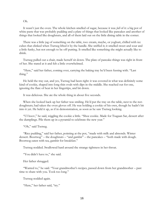Oh.

It wasn't just the oven. The whole kitchen smelled of sugar, because it was *full* of it: a big pot of white paste that was probably pudding and a plate of things that looked like pancakes and another of things that looked like doughnuts, and all of them laid out on the little dining table in the corner.

There was a little jug of something on the table, too: cream, maybe, or yoghurt, chilled with ice cubes that clinked when Tsetseg lifted it by the handle. She sniffed it; it smelled sweet and sour and a little funky, but not enough to be off-putting. It smelled like something she might actually like to drink.

Tsetseg pulled out a chair, made herself sit down. The plate of pancake-things was right in front of her. She stared at it and felt a little overwhelmed.

"Here," said her father, coming over, carrying the baking tray he'd been fussing with. "Last thing."

He held the tray out, and yes, Tsetseg had been right: it was covered in what was definitely some kind of cookie, shaped into long thin ovals with dips in the middle. She reached out for one, ignoring the flare of heat in her fingertips, and bit down.

It was delicious. She ate the whole thing in about five seconds.

When she looked back up her father was smiling. He'd put the tray on the table, next to the notdoughnuts; had taken the oven gloves off. He was holding a cookie of his own, though he hadn't bit into it yet. He held it up, as if in demonstration, as soon as he saw Tsetseg looking.

"Ul boov," he said, wiggling the cookie a little. "Shoe cookie. Made for Tsagaan Sar, dessert after the dumplings. Pile them up in a pyramid to celebrate the new year."

"Oh," said Tsetseg.

"Rice pudding," said her father, pointing at the pot, "made with milk and almonds. Winter dessert. Boortsog" – the doughnuts – "and gambir" – the pancakes – "both made with dough. Boortsog eaten with tea, gambir for breakfast."

Tsetseg nodded. Swallowed hard around the strange tightness in her throat.

"You didn't have to," she said.

Her father shrugged.

"Wanted to," he said. "Your grandmother's recipes, passed down from her grandmother – past time to share with you. Took too long."

Tsetseg nodded again.

"Here," her father said, "try."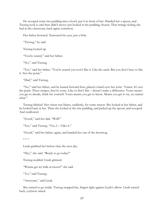He scooped some rice pudding into a bowl, put it in front of her. Handed her a spoon, and Tsetseg took it, and then didn't move; just looked at the pudding, frozen. That strange feeling she had in the classroom, back again, somehow.

Her father frowned. Narrowed his eyes, just a little.

"Tsetseg," he said.

Tsetseg looked up.

"You're scared," said her father.

"No," said Tsetseg.

"Yes," said her father. "You're scared you won't like it. Like the aarul. But you don't have to like it. Not the point."

"Dad," said Tsetseg.

"No," said her father, and he leaned forward then, placed a hand over her wrist. "Listen. It's not the point. These recipes, they're yours. Like or don't like – doesn't make a difference. Yours means you get to decide, think for yourself. Yours means you get to know. Means you get to try, no matter what."

Tsetseg blinked. Her vision was blurry, suddenly, for some reason. She looked at her father, and he looked back at her. Then she looked at the rice pudding, and picked up the spoon, and scooped. And swallowed.

"Good," said her dad. "Well?"

"Yes," said Tsetseg. "Yes, I - I like it."

"Good," said her father, again, and handed her one of the boortsog.

\* \* \*

Lizah grabbed her before class the next day.

"Hey," she said. "Ready to go today?"

Tsetseg nodded. Lizah grinned.

"Wanna get ice balls at recess?" she said.

"*Yes*," said Tsetseg.

"Awesome," said Lizah.

She turned to go inside. Tsetseg stopped her, fingers light against Lizah's elbow. Lizah turned back, eyebrow raised.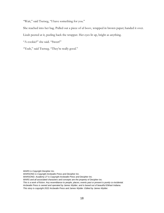"Wait," said Tsetseg, "I have something for you."

She reached into her bag. Pulled out a piece of ul boov, wrapped in brown paper; handed it over.

Lizah peered at it, peeling back the wrapper. Her eyes lit up, bright as anything.

"A cookie?" she said. "Sweet!"

"Yeah," said Tsetseg. "They're really good."

*WARS is Copyright Decipher Inc.*

*WARSONG is Copyright Arcbeatle Press and Decipher Inc.*

*WARSONG: Academy 27 is Copyright Arcbeatle Press and Decipher Inc.*

*WARS and all associated characters and concepts are the property of Decipher inc.*

*This is a work of fiction. Any resemblance to people, places, events past or present is purely co-incidental. Arcbeatle Press is owned and operated by James Wylder, and is based out of beautiful Elkhart Indiana. This story is copyright 2022 Arcbeatle Press and James Wylder. Edited by James Wylder.*